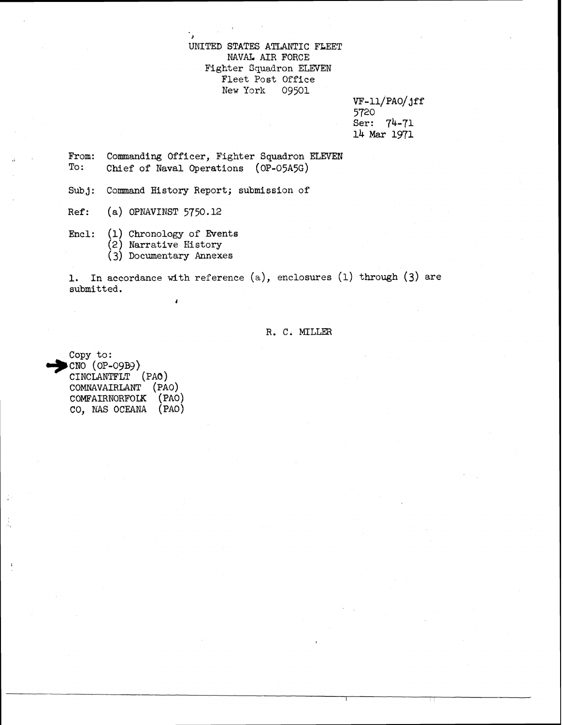### **UNITED STATES** ATLANTIC FLEET NAVAL AIR FORCE Fighter Squadron ELEVEN Fleet Post **Office**  New York

VF-11/PAO/ jff 5720 Ser: 74-71 **14** Mar 1971

From: Commanding Officer, Fighter Squadron ELEVEN<br>To: Chief of Naval Operations (OP-O545G) Chief of Naval Operations (OP-05A5G)

Subj: Command History Report; submission of

>

- **Ref:** (a) OPNAVINST 5750.12
- Encl: (1) Chronology of Events
	- (2) **Narrative** Eistory
	- *(3)* Documentary Annexes

*I* 

**1.** In accordance **with** reference (a), enclosures (1) through (3) are submitted .

#### R. C. MILLER

Copy to:<br>**I**CNO (OP-09B9) CINCLANTFLT (PAo) COMNAVAIRLANT' (PAO) COMFAIRNORFOLK (PAO) CO, NAS OCEANA (PAO)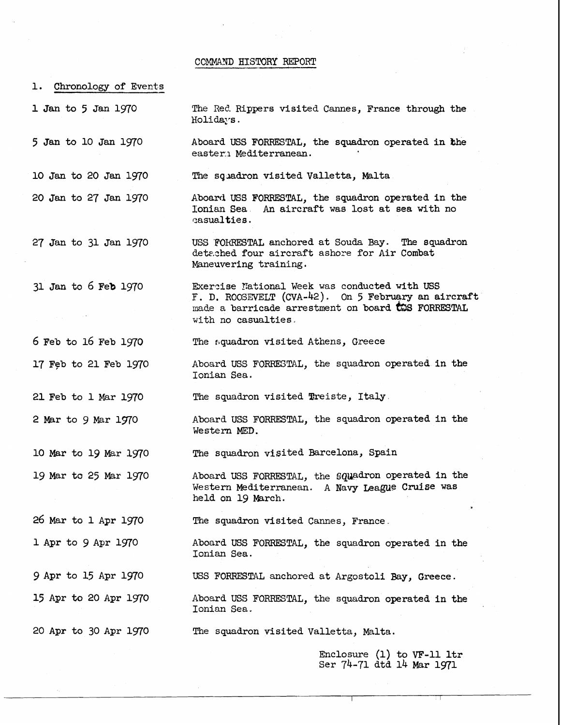#### COMMAND HISTORY REPORT

1. Chronology of Events

1 Jan to *5* Jan 1970

5 Jan to 10 Jan 1970

10 Jan to 20 Jan 1970

The Red. Rippers visited Cannes, France through the Holidays.

Aboard USS FORRESTAL, the squadron operated in the easter.1 Mediterranean.

The squadron visited Valletta, Malta

20 Jan to 27 Jan 1970 Aboard USS FORRESTAL, the squadron operated in the Ionian Sea. An aircraft was lost at sea with no An aircraft was lost at sea with no casualties.

27 Jan to 31 Jan 1970 USS **'FOBRESTAL** anchored at Souda Bay. **The** squadron detczhed **four** aircraft ashore for Air Combat Maneuvering training.

31 Jan to 6 Feb 1970 Exercise National Week was conducted with USS F. D. ROOSEVELT (CVA-42). On 5 February an aircraft made a barricade arrestment on board **COS** FORRESTAL with no casualties **<sup>a</sup>**

*6* Feb to 16 Feb 1970

Aboard **USS** FORRESIIAL, the squadron operated in the Ionian Sea.

The squadron visited Treiste, Italy.

Aboard USS FORRESTAL, the squadron operated in the Western **MED.** 

**The** squadron visited Barcelona, Spain

Aboard USS FORRESTAL, the squadron operated in the Western Mediterranean. A Navy **Leame** Cruise was held on 19 March.

The squadron visited Cannes, France.

Aboard **USS** FORRESTAL, the squadron operated in the Ionian Sea.

USS FORRESTAL anchored at Argostoli Bay, Greece.

Aboard USS FORRESTAL, the squadron operated in the Ionian Sea.

**The** squadron visited Valletta, Malta.

Enclosure (1) to VF-11 ltr Ser 74-71 dtd 14 Mar 1971

20 Apr to 30 Apr 1970

The squadron visited Athens, Greece

17 Feb to 21 Feb 1970

21 Feb to 1 Mar 1970

2 Mar to 9 Mar 1970

10 Mar to 19 Mar 1970 19 Mar ta **25** Mar 1970

26 Mar to 1 Apr 1970

1 Apr to 9 Apr 1970

9 Apr to **15** Apr 1970

15 Apr to 20 Apr 1970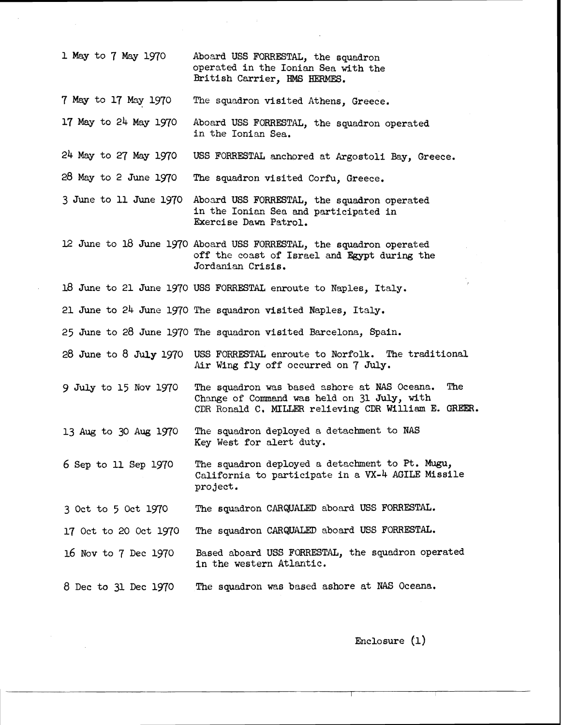| 1 May to 7 May 1970    | Aboard USS FORRESTAL, the squadron<br>operated in the Ionian Sea with the<br>British Carrier, HMS HERMES.                                                  |
|------------------------|------------------------------------------------------------------------------------------------------------------------------------------------------------|
| 7 May to 17 May 1970   | The squadron visited Athens, Greece.                                                                                                                       |
| 17 May to 24 May 1970  | Aboard USS FORRESTAL, the squadron operated<br>in the Ionian Sea.                                                                                          |
| 24 May to 27 May 1970  | USS FORRESTAL anchored at Argostoli Bay, Greece.                                                                                                           |
| 28 May to 2 June 1970  | The squadron visited Corfu, Greece.                                                                                                                        |
| 3 June to 11 June 1970 | Aboard USS FORRESTAL, the squadron operated<br>in the Ionian Sea and participated in<br>Exercise Dawn Patrol.                                              |
|                        | 12 June to 18 June 1970 Aboard USS FORRESTAL, the squadron operated<br>off the coast of Israel and Egypt during the<br>Jordanian Crisis.                   |
|                        | 18 June to 21 June 1970 USS FORRESTAL enroute to Naples, Italy.                                                                                            |
|                        | 21 June to 24 June 1970 The squadron visited Naples, Italy.                                                                                                |
|                        | 25 June to 28 June 1970 The squadron visited Barcelona, Spain.                                                                                             |
| 28 June to 8 July 1970 | USS FORRESTAL enroute to Norfolk. The traditional<br>Air Wing fly off occurred on 7 July.                                                                  |
| 9 July to 15 Nov 1970  | The<br>The squadron was based ashore at NAS Oceana.<br>Change of Command was held on 31 July, with<br>CDR Ronald C. MILLER relieving CDR William E. GREER. |
| 13 Aug to 30 Aug 1970  | The squadron deployed a detachment to NAS<br>Key West for alert duty.                                                                                      |
| 6 Sep to 11 Sep 1970   | The squadron deployed a detachment to Pt. Mugu,<br>California to participate in a VX-4 AGILE Missile<br>project.                                           |
| 3 Oct to 5 Oct 1970    | The squadron CARQUALED aboard USS FORRESTAL.                                                                                                               |
| 17 Oct to 20 Oct 1970  | The squadron CARQUALED aboard USS FORRESTAL.                                                                                                               |
| 16 Nov to 7 Dec 1970   | Based aboard USS FORRESTAL, the squadron operated<br>in the western Atlantic.                                                                              |
| 8 Dec to 31 Dec 1970   | The squadron was based ashore at NAS Oceana.                                                                                                               |

 $\bar{\beta}$ 

Enclosure (1)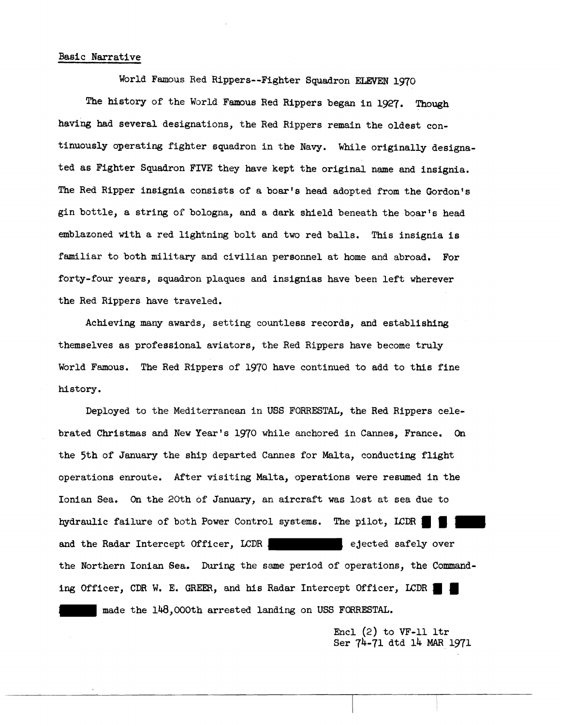## Basic Narrative

World Famous Red Rippers--Fighter Squadron ELEVEN 1970 *The* history of the World Famous Red Rippers began in 1927. Though having **had** several designations, the Red Rippers remain the oldest continuously operating fighter squadron in the Navy. While originally designated as Fighter Squadron FIVE they have kept the original name and insignia. The Red Ripper insignia consists of a boar's head adopted from the Gordon's gin bottle, a string of bologna, and a dark shleld beneath the boar's head emblazoned with a red lightning bolt and two red balls. This insignia is familiar to both military and civilian personnel at home and abroad. For forty-four years, squadron plaques **and** insignias have been left wherever the Red Rippers have traveled.

Achieving many awards, setting countless records, and establishing themselves as professional aviators, the Red Rippers have become truly World Famous. The Red Rippers of 1970 have continued to add to this fine history.

Deployed to the Mediterranean in **USS FORRESTAL,** the Red Rippers celebrated Christmas and New **Year's 1970** while anchored in **Cannes,** France, **On**  the 5th of January the ship departed **Cannes** for **Malta,** conducting flight operations enroute. After visiting Malta, operations were resumed in the Ionian Sea. On the **20th** of January, an aircraft was lost at sea due to hydraulic failure of both Power Control systems. The pilot, LCDR 1 and the Radar Intercept Officer, LCDR , ejected safely over the Northern Ionian Sea. During the same period of operations, the Command**ing** Officer, CDR W, E. **GREW,** and his Radar Intercept Officer, LCDR made the 148,000th arrested landing on **USS FORRESTAL.** 

> Encl (2) to **VF-11** ltr Ser 74-71 dtd 14 **MAR** 1971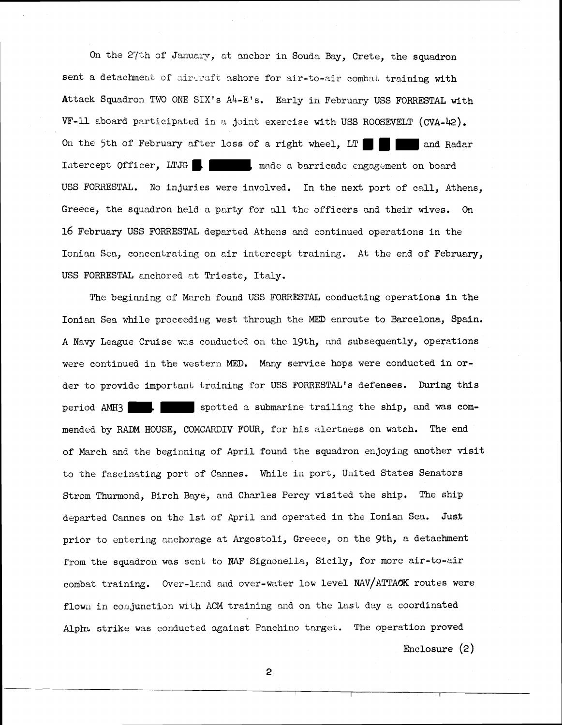On the 27th of January, at anchor in Souda Bay, Crete, the squadron sent a detachment of airtraft ashore for air-to-air combat training with Attack Squadron TWO ORE SIX'S Ah-E'S. Early in February USS **FORRESTAL** with  $VF-11$  aboard participated in a joint exercise with USS ROOSEVELT (CVA-42). On the 5th of February after loss of a right wheel, LT  $\blacksquare$  and Radar Iatercept Officer, LTJG subsettlede a barricade engagement on board USS FORRESTAL. No injuries were involved. In the next port of call, Athens, Greece, the squadron held a party for all the officers and their wives. On 16 February USS FORRESTAL departed Athens and continued operations in the Ionian Sea, concentrating on air intercept training. At the end of February, USS FORRESTAL anchored zt Trieste, Italy.

The beginning of March found USS FORRESTAL conducting operations in the Ionian Sea while proceeding west through the MED enroute to Barcelona, Spain. A Navy League Cruise was conducted on the 19th, and subsequently, operations were continued in the western MED. Many service hops were conducted in order to provide important training for USS FORRESTAL's defenses. During this period AMH3 **s** is potted a submarine trailing the ship, and was commended by RRDM HOUSE, COMCARIIIV FOUR, for his alertness on watch. The end of March and the beginning of April found the squadron enjoying another visit to the fascinating port of Cannes. While in port, United States Senators Strom Thurmond, Birch Baye, and Charles Percy visited the ship. The ship departed Cannes on the 1st of April and operated in the Ionian Sea. Just prior to entering anchorage at Argostoli, Greece, on the gth, *a* detachment from the squadron was sent to NAF Signonella, Sicily, for more air-to-air combat training. Over-lend and over-water low level NAV/ATTACK routes were flown in conjunction with ACM training and on the last day a coordinated Alph strike was conducted against Panchino target. The operation proved

Enclosure (2)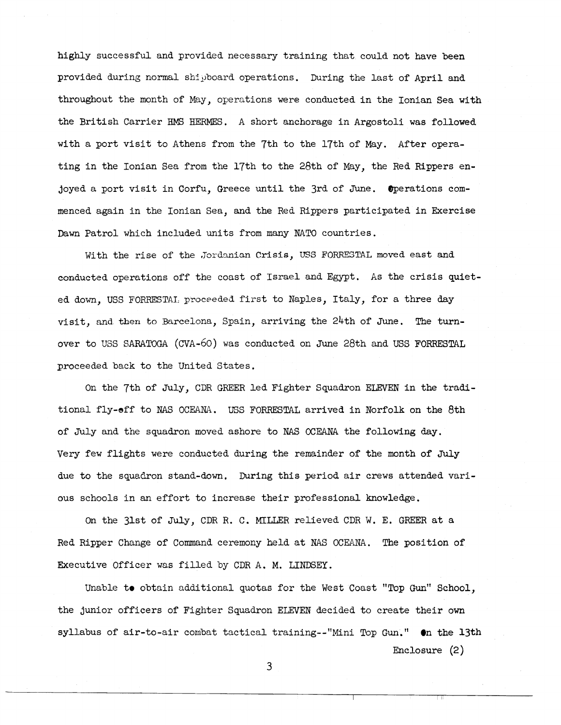highly successful and provided necessary training that could not have been provided during normal shipboard operations. During the last of April and throughout the month of May, operations were conducted in the Ionian **Sea** with the British Carrier HMS HERMES. A short anchorage in Argostoli was followed with a port visit to Athens from the 7th to the 17th of May. After operating in the Ionian Sea from the 17th to the 28th of May, the Red Rippers enjoyed a port visit in Corfu. Greece until the 3rd of June. Operations commenced again in the Ionian Sea, and the Red Rippers participated in Exercise Dawn Patrol which included units from many NATO countries.

With the rise of the Jordanian Crisis, USS FORRESTAL moved east and **conducted** operations off the coast of Israel and Egypt. As the crisis quieted down, **USS** FORRESTAI, **proceeded** first to Naples, Italy, for a three day visit, and **then** to Eercelona, Spain, arriving the 24th of June. The turnover to YSS SARATOGA (CVA-60) was conducted on June 28th and USS FORRESTAL proceeded back to the United States.

On the 7th of July, CDR GREER led Fighter Squadron ELEVEN in the traditional fly-eff to NAS OCEANA. USS FORRESTAL arrived in Norfolk on the 8th of July and the squadron moved ashore to **NAS** CCEANA the following day. Very few flights were conducted during the remainder of the month of July due to the squadron stand-down. During this period air crews attended various schools in an effort to increase their professional knowledge.

On the 31st of July, CDR R. C. MILLER relieved CDR W. E. GREER at a Red Ripper Change of Command ceremony held at NAS OCEANA. The position of Executive Officer was filled by CDR A. M. LINDSEY.

Unable to obtain additional quotas for the West Coast "Top Gun" School, the junior officers of Fighter Squadron ELFVEN decided to create their own syllabus of air-to-air combat tactical training--"Mini Top Gun." **en** the 13th

Enclosure (2)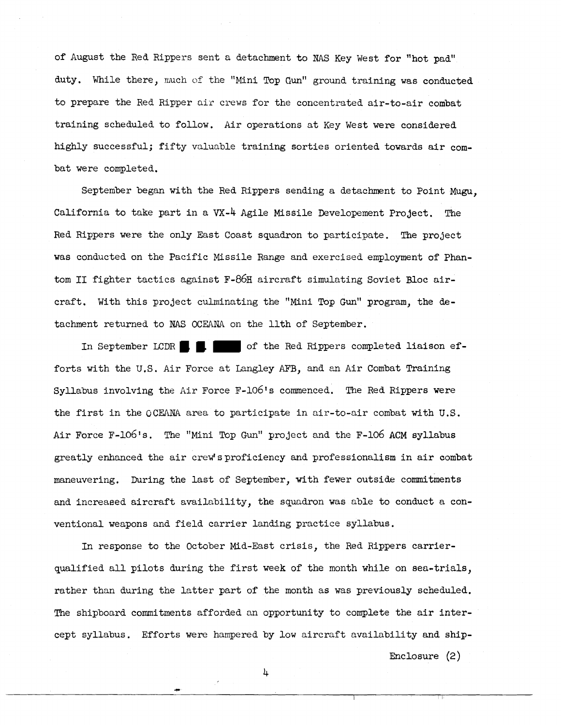of August the Red Rippers sent a detachment to NAS Key West for "hot pad" duty. While there, nuch of the "Mini Top Gun" ground training was conducted to prepare the Red Ripper air crews for the concentrated air-to-air combat training scheduled to follow. Air operations at Key West were considered highly successful; fifty valuable training sorties oriented towards air conbat were completed,

September began with the Red Rippers sending a detachment to Point **Mugu,**  California to take part in a **VX-4** Agile Misgile Developement Project . The Red Rippers were the only East Coast squadron to participate. The project was conducted on the Pacific Missile Range and exercised employment of **Phan**tom II fighter tactics against F-86H aircraft simulating Soviet Bloc aircraft. With this project culminating the "Mini Top Gun" program, the detachment returned to **NAS** OCEANA on the 11th of September.

In September LCDR  $\blacksquare$   $\blacksquare$  of the Red Rippers completed liaison efforts with the U.S. Air Force at Langley AFB, and an Air Combat Training Syllabus involving the Air Force F-106's commenced, The Red Rippers were the first in the OCEANA area to participate in air-to-air combat with U.S. Air Force F-106's. The "Mini Top Gun" project and the F-106 ACM syllabus greatly enhanced the air crew'sproficiency and professionalism in air combat maneuvering. During the last of September, with fewer outside commitments and increaeed aircraft availability, the sqyadron was able to conduct a conventional weapons and field carrier landing practice syllabus.

In response to the October Mid-East crisis, the Red Rippers carrierqualified all pilots during the first week of the month while on sea-trials, rather than during the letter part of the month as was previously scheduled. The shipboard commitments afforded an opportunity to complete the air intercept syllabus. Efforts were hampered by low aircraft availability and ship-

Enclosure (2)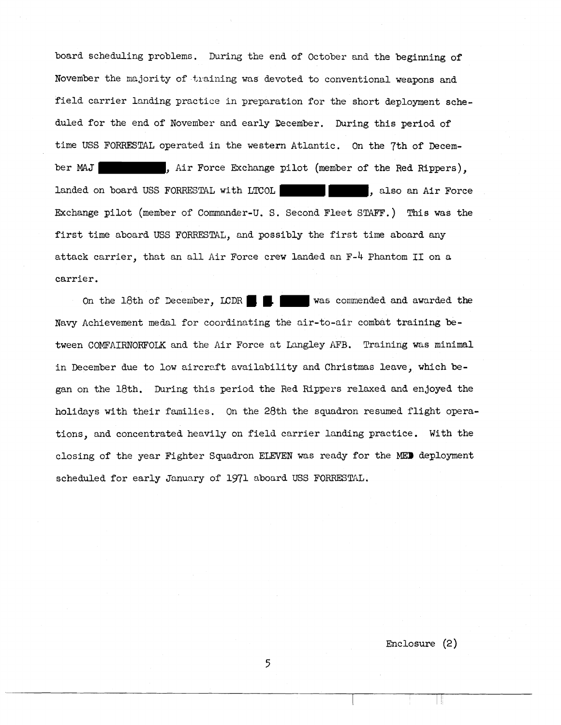board scheduling problems. During the end of October and the beginning of November the majority of tiaining was devoted to conventional weapons and field carrier landing practice in prepsration for the short deployment scheduled for the end of November and early Becember. During this period of time USS FORRESTAL operated in the western Atlantic. On the 7th of December **MAS** , Air Force Exchange pilot (member of the Red ~ippers), landed on board **USS** FORRESTAL with **LTCOL ,** also an Air Force Exchange pilot (member of Commander-U. S. Second Fleet STAFF.) This **was** the first time aboard USS FORRESTAL, and possibly the first time aboard any attack carrier, that an all Air Force crew landed an F-4 Phantom I1 on a carrier.

On the 18th of December, LCDR  $\blacksquare$   $\blacksquare$  was commended and awarded the Navy Achievement medal for coordinating the air-to-air combat training between COMFAIRNORFOLK and the Air Force at Lmgley AFB. Training was minimal in December due to low aircreft availability and Christmas leave, which began on the 18th. During this period the Red Rippers relaxed and enjoyed the holidays with their families. On the 28th the sqyadron resumed flight operations, **and** concentrated heavily on field carrier landing practice. With the closing of the year Fighter Squadron **ELFVEN** was ready for the **MEP** deployment scheduled for early January of 1971 aboard **USS** FORRESTAL.

Enclosure (2)

Ш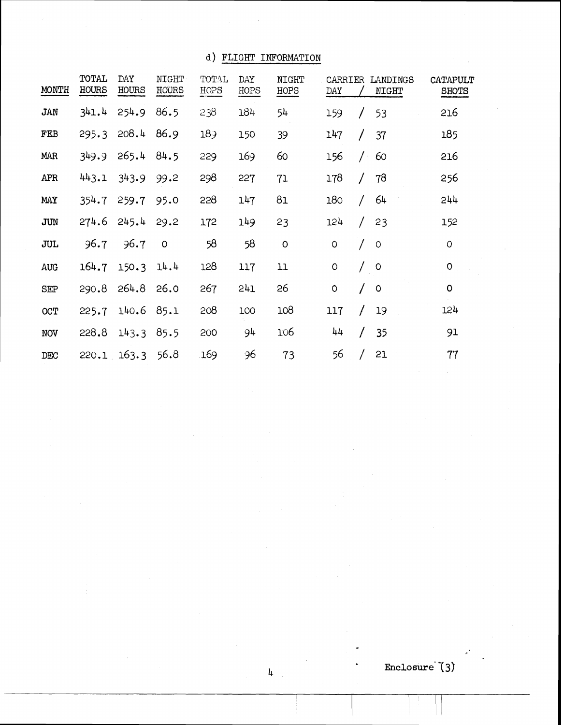**d) FLIGHT INFORMATION** 

| d)<br>FLIGHT INFORMATION |                |              |                       |                 |             |                      |                |        |                   |                          |
|--------------------------|----------------|--------------|-----------------------|-----------------|-------------|----------------------|----------------|--------|-------------------|--------------------------|
| MONTH                    | TOTAL<br>HOURS | DAY<br>HOURS | <b>NIGHT</b><br>HOURS | TOTAL<br>HOPS   | DAY<br>HOPS | <b>NIGHT</b><br>HOPS | CARRIER<br>DAY |        | LANDINGS<br>NIGHT | CATAPULT<br><b>SHOTS</b> |
| JAN                      | 341.4          | 254.9        | 86.5                  | 238             | 184         | 54                   | 159            |        | 53                | 516                      |
| FEB                      | 295.3          | 208.4        | 86.9                  | 18 <sub>9</sub> | 150         | 39                   | 147            |        | 37                | 185                      |
| <b>MAR</b>               | 349.9          | 265.4        | 84.5                  | 229             | 169         | 60                   | 156            | $\int$ | 60                | 216                      |
| APR                      | 443.1          | 343.9        | 99.2                  | 298             | 227         | 71                   | 178            |        | 78                | 256                      |
| MAY                      | 354.7          | 259.7        | 95.0                  | 228             | 147         | 81                   | 180            |        | 64                | 544                      |
| JUN                      | 274.6          | 245.4        | 29.2                  | 172             | 149         | 23                   | 124            |        | 23                | 152                      |
| <b>JUL</b>               | 96.7           | 96.7         | $\circ$               | 58              | 58          | $\circ$              | $\circ$        |        | $\circ$           | $\circ$                  |
| AUG                      | 164.7          | 150.3        | 14.4                  | 128             | 117         | 11                   | $\circ$        |        | $\circ$           | $\circ$                  |
| <b>SEP</b>               | 290.8          | 264.8        | 26.0                  | 267             | 241         | 26                   | $\circ$        |        | $\circ$           | $\circ$                  |
| OCT                      | 225.7          | 140.6        | 85.1                  | 208             | 100         | 108                  | 117            |        | 19                | 124                      |
| <b>NOV</b>               | 228.8          | 143.3        | 85.5                  | 200             | 94          | 106                  | 44             | T      | 35                | 91                       |
| DEC                      | 220.1          | 163.3        | 56.8                  | 169             | 96          | 73                   | 56             |        | 21                | 77                       |

Enclosure<sup>(3)</sup>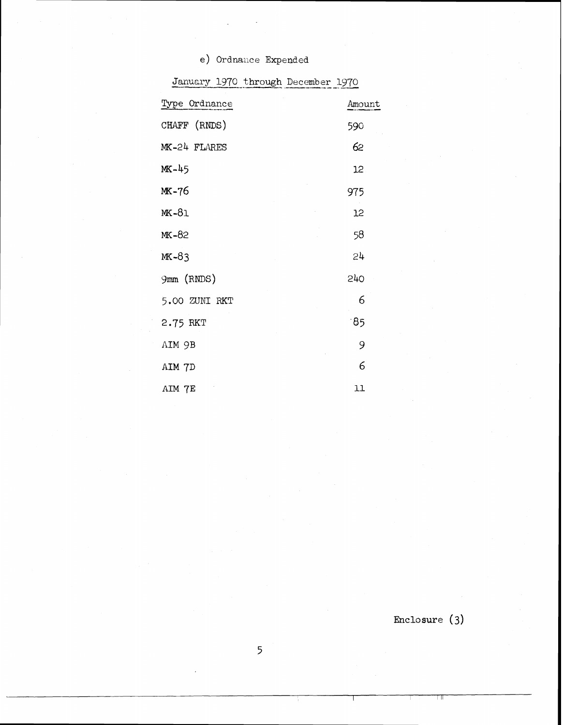| e) Ordnance Expended               |        |
|------------------------------------|--------|
| January 1970 through December 1970 |        |
| Type Ordnance                      | Amount |
| CHAFF (RNDS)                       | 590    |
| MK-24 FLARES                       | 62     |
| MK-45                              | 12     |
| MK-76                              | 975    |
| MK-81                              | 12     |
| MK-82                              | 58     |
| $MK-83$                            | 24     |
| 9mm (RNDS)                         | 240    |
| 5.00 ZUNI RKT                      | 6      |
| 2.75 RKT                           | 85     |
| AIM 9B                             | 9      |
| AIM 7D                             | 6      |
| AIM 7E                             | 11     |

**Enclosure (3)** 

 $\overline{5}$